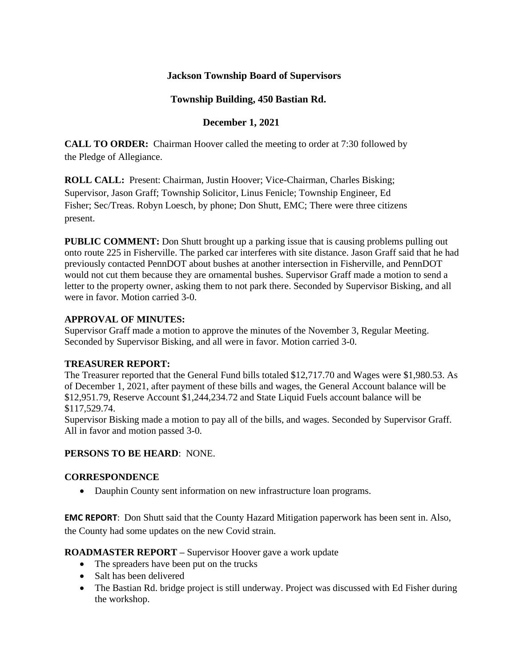## **Jackson Township Board of Supervisors**

## **Township Building, 450 Bastian Rd.**

## **December 1, 2021**

**CALL TO ORDER:** Chairman Hoover called the meeting to order at 7:30 followed by the Pledge of Allegiance.

**ROLL CALL:** Present: Chairman, Justin Hoover; Vice-Chairman, Charles Bisking; Supervisor, Jason Graff; Township Solicitor, Linus Fenicle; Township Engineer, Ed Fisher; Sec/Treas. Robyn Loesch, by phone; Don Shutt, EMC; There were three citizens present.

**PUBLIC COMMENT:** Don Shutt brought up a parking issue that is causing problems pulling out onto route 225 in Fisherville. The parked car interferes with site distance. Jason Graff said that he had previously contacted PennDOT about bushes at another intersection in Fisherville, and PennDOT would not cut them because they are ornamental bushes. Supervisor Graff made a motion to send a letter to the property owner, asking them to not park there. Seconded by Supervisor Bisking, and all were in favor. Motion carried 3-0.

## **APPROVAL OF MINUTES:**

Supervisor Graff made a motion to approve the minutes of the November 3, Regular Meeting. Seconded by Supervisor Bisking, and all were in favor. Motion carried 3-0.

#### **TREASURER REPORT:**

The Treasurer reported that the General Fund bills totaled \$12,717.70 and Wages were \$1,980.53. As of December 1, 2021, after payment of these bills and wages, the General Account balance will be \$12,951.79, Reserve Account \$1,244,234.72 and State Liquid Fuels account balance will be \$117,529.74.

Supervisor Bisking made a motion to pay all of the bills, and wages. Seconded by Supervisor Graff. All in favor and motion passed 3-0.

#### **PERSONS TO BE HEARD**: NONE.

#### **CORRESPONDENCE**

• Dauphin County sent information on new infrastructure loan programs.

**EMC REPORT**: Don Shutt said that the County Hazard Mitigation paperwork has been sent in. Also, the County had some updates on the new Covid strain.

**ROADMASTER REPORT –** Supervisor Hoover gave a work update

- The spreaders have been put on the trucks
- Salt has been delivered
- The Bastian Rd. bridge project is still underway. Project was discussed with Ed Fisher during the workshop.